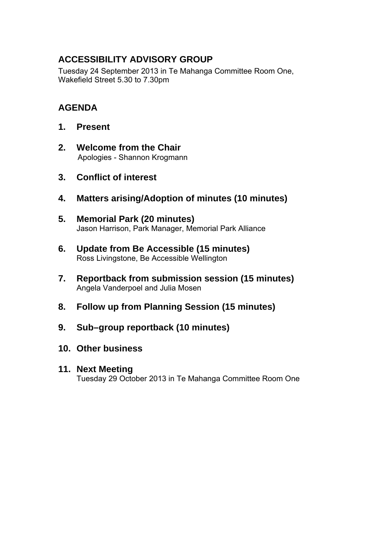## **ACCESSIBILITY ADVISORY GROUP**

Tuesday 24 September 2013 in Te Mahanga Committee Room One, Wakefield Street 5.30 to 7.30pm

## **AGENDA**

- **1. Present**
- **2. Welcome from the Chair**  Apologies - Shannon Krogmann
- **3. Conflict of interest**
- **4. Matters arising/Adoption of minutes (10 minutes)**
- **5. Memorial Park (20 minutes)**  Jason Harrison, Park Manager, Memorial Park Alliance
- **6. Update from Be Accessible (15 minutes)**  Ross Livingstone, Be Accessible Wellington
- **7. Reportback from submission session (15 minutes)**  Angela Vanderpoel and Julia Mosen
- **8. Follow up from Planning Session (15 minutes)**
- **9. Sub–group reportback (10 minutes)**
- **10. Other business**

## **11. Next Meeting**

Tuesday 29 October 2013 in Te Mahanga Committee Room One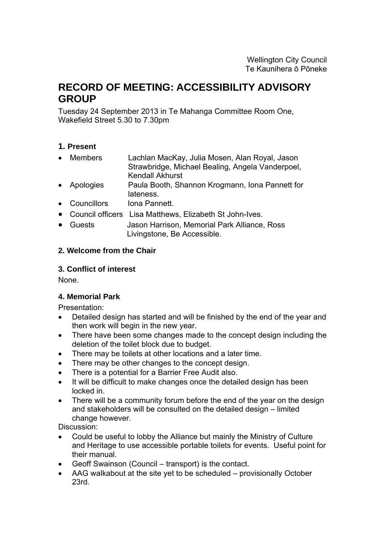# **RECORD OF MEETING: ACCESSIBILITY ADVISORY GROUP**

Tuesday 24 September 2013 in Te Mahanga Committee Room One, Wakefield Street 5.30 to 7.30pm

## **1. Present**

- Members Lachlan MacKay, Julia Mosen, Alan Royal, Jason Strawbridge, Michael Bealing, Angela Vanderpoel, Kendall Akhurst
- Apologies Paula Booth, Shannon Krogmann, Iona Pannett for lateness.
- Councillors Iona Pannett.
- Council officers Lisa Matthews, Elizabeth St John-Ives.
- Guests Jason Harrison, Memorial Park Alliance, Ross Livingstone, Be Accessible.

## **2. Welcome from the Chair**

### **3. Conflict of interest**

None.

## **4. Memorial Park**

Presentation:

- Detailed design has started and will be finished by the end of the year and then work will begin in the new year.
- There have been some changes made to the concept design including the deletion of the toilet block due to budget.
- There may be toilets at other locations and a later time.
- There may be other changes to the concept design.
- There is a potential for a Barrier Free Audit also.
- It will be difficult to make changes once the detailed design has been locked in.
- There will be a community forum before the end of the year on the design and stakeholders will be consulted on the detailed design – limited change however.

Discussion:

- Could be useful to lobby the Alliance but mainly the Ministry of Culture and Heritage to use accessible portable toilets for events. Useful point for their manual.
- Geoff Swainson (Council transport) is the contact.
- AAG walkabout at the site yet to be scheduled provisionally October 23rd.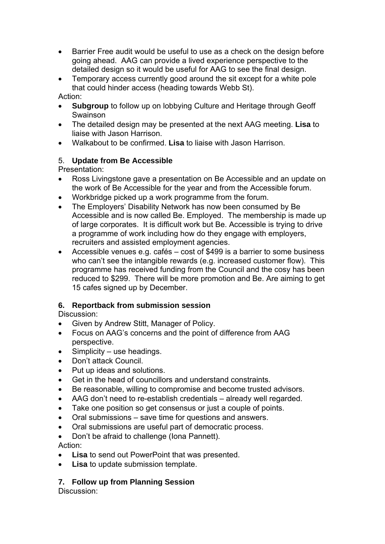- Barrier Free audit would be useful to use as a check on the design before going ahead. AAG can provide a lived experience perspective to the detailed design so it would be useful for AAG to see the final design.
- Temporary access currently good around the sit except for a white pole that could hinder access (heading towards Webb St).

Action:

- **Subgroup** to follow up on lobbying Culture and Heritage through Geoff Swainson
- The detailed design may be presented at the next AAG meeting. **Lisa** to liaise with Jason Harrison.
- Walkabout to be confirmed. **Lisa** to liaise with Jason Harrison.

## 5. **Update from Be Accessible**

Presentation:

- Ross Livingstone gave a presentation on Be Accessible and an update on the work of Be Accessible for the year and from the Accessible forum.
- Workbridge picked up a work programme from the forum.
- The Employers' Disability Network has now been consumed by Be Accessible and is now called Be. Employed. The membership is made up of large corporates. It is difficult work but Be. Accessible is trying to drive a programme of work including how do they engage with employers, recruiters and assisted employment agencies.
- Accessible venues e.g. cafés cost of \$499 is a barrier to some business who can't see the intangible rewards (e.g. increased customer flow). This programme has received funding from the Council and the cosy has been reduced to \$299. There will be more promotion and Be. Are aiming to get 15 cafes signed up by December.

## **6. Reportback from submission session**

Discussion:

- Given by Andrew Stitt, Manager of Policy.
- Focus on AAG's concerns and the point of difference from AAG perspective.
- Simplicity use headings.
- Don't attack Council.
- Put up ideas and solutions.
- Get in the head of councillors and understand constraints.
- Be reasonable, willing to compromise and become trusted advisors.
- AAG don't need to re-establish credentials already well regarded.
- Take one position so get consensus or just a couple of points.
- Oral submissions save time for questions and answers.
- Oral submissions are useful part of democratic process.
- Don't be afraid to challenge (Iona Pannett).

Action:

- **Lisa** to send out PowerPoint that was presented.
- **Lisa** to update submission template.

## **7. Follow up from Planning Session**

Discussion: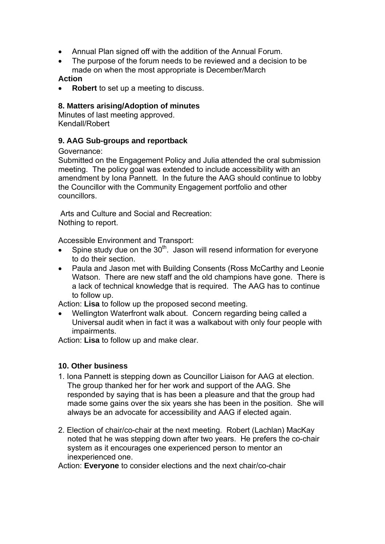- Annual Plan signed off with the addition of the Annual Forum.
- The purpose of the forum needs to be reviewed and a decision to be made on when the most appropriate is December/March

#### **Action**

**Robert** to set up a meeting to discuss.

#### **8. Matters arising/Adoption of minutes**

Minutes of last meeting approved. Kendall/Robert

#### **9. AAG Sub-groups and reportback**

Governance:

Submitted on the Engagement Policy and Julia attended the oral submission meeting. The policy goal was extended to include accessibility with an amendment by Iona Pannett. In the future the AAG should continue to lobby the Councillor with the Community Engagement portfolio and other councillors.

 Arts and Culture and Social and Recreation: Nothing to report.

Accessible Environment and Transport:

- Spine study due on the  $30<sup>th</sup>$ . Jason will resend information for everyone to do their section.
- Paula and Jason met with Building Consents (Ross McCarthy and Leonie Watson. There are new staff and the old champions have gone. There is a lack of technical knowledge that is required. The AAG has to continue to follow up.

Action: **Lisa** to follow up the proposed second meeting.

• Wellington Waterfront walk about. Concern regarding being called a Universal audit when in fact it was a walkabout with only four people with impairments.

Action: **Lisa** to follow up and make clear.

### **10. Other business**

- 1. Iona Pannett is stepping down as Councillor Liaison for AAG at election. The group thanked her for her work and support of the AAG. She responded by saying that is has been a pleasure and that the group had made some gains over the six years she has been in the position. She will always be an advocate for accessibility and AAG if elected again.
- 2. Election of chair/co-chair at the next meeting. Robert (Lachlan) MacKay noted that he was stepping down after two years. He prefers the co-chair system as it encourages one experienced person to mentor an inexperienced one.

Action: **Everyone** to consider elections and the next chair/co-chair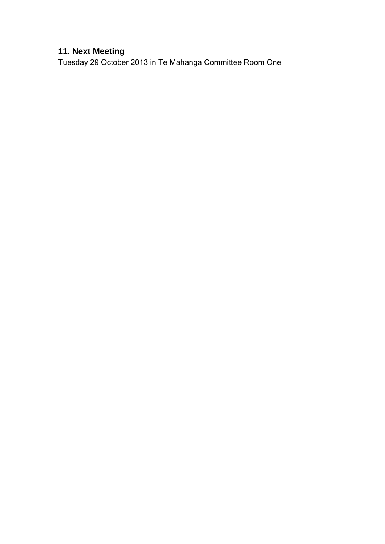## **11. Next Meeting**

Tuesday 29 October 2013 in Te Mahanga Committee Room One